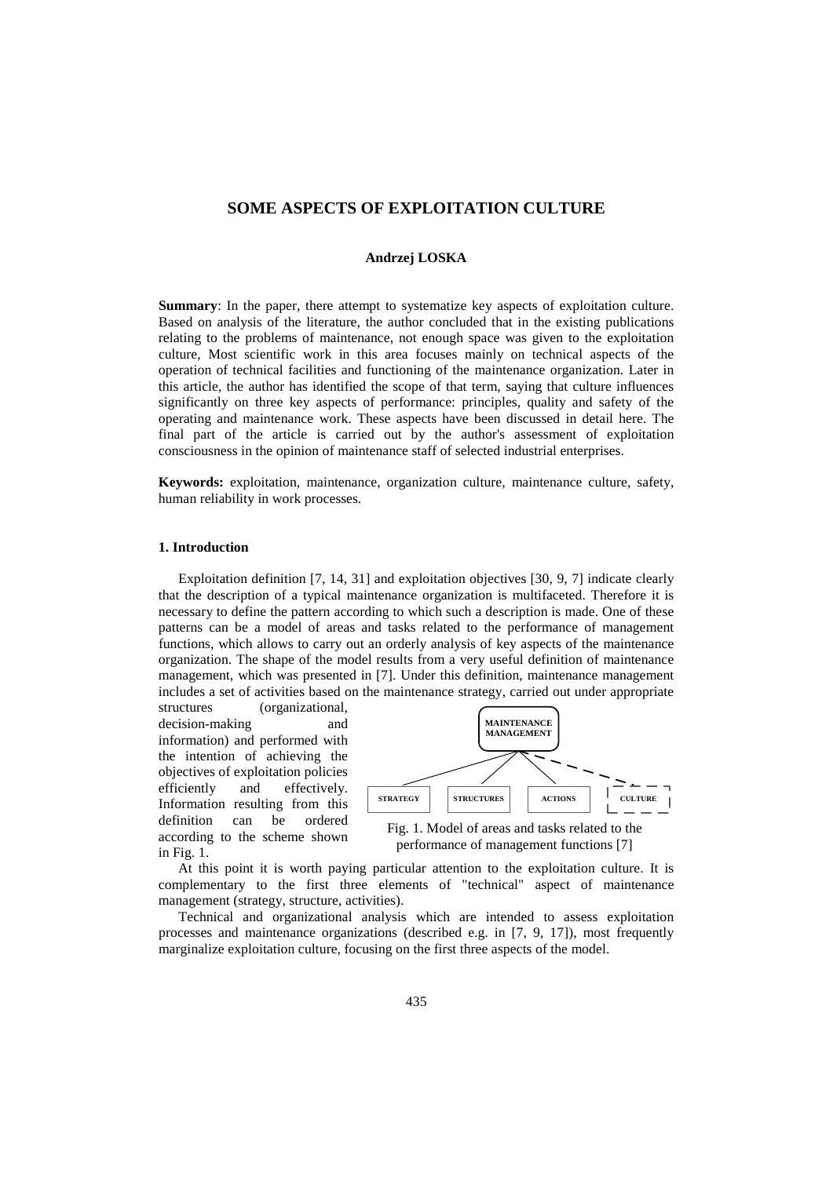# **SOME ASPECTS OF EXPLOITATION CULTURE**

### **Andrzej LOSKA**

**Summary**: In the paper, there attempt to systematize key aspects of exploitation culture. Based on analysis of the literature, the author concluded that in the existing publications relating to the problems of maintenance, not enough space was given to the exploitation culture, Most scientific work in this area focuses mainly on technical aspects of the operation of technical facilities and functioning of the maintenance organization. Later in this article, the author has identified the scope of that term, saying that culture influences significantly on three key aspects of performance: principles, quality and safety of the operating and maintenance work. These aspects have been discussed in detail here. The final part of the article is carried out by the author's assessment of exploitation consciousness in the opinion of maintenance staff of selected industrial enterprises.

**Keywords:** exploitation, maintenance, organization culture, maintenance culture, safety, human reliability in work processes.

#### **1. Introduction**

Exploitation definition [\[7,](#page-10-0) [14,](#page-11-0) [31\]](#page-11-1) and exploitation objectives [\[30,](#page-11-2) [9,](#page-10-1) [7\]](#page-10-0) indicate clearly that the description of a typical maintenance organization is multifaceted. Therefore it is necessary to define the pattern according to which such a description is made. One of these patterns can be a model of areas and tasks related to the performance of management functions, which allows to carry out an orderly analysis of key aspects of the maintenance organization. The shape of the model results from a very useful definition of maintenance management, which was presented in [\[7\]](#page-10-0). Under this definition, maintenance management includes a set of activities based on the maintenance strategy, carried out under appropriate

structures (organizational, decision-making and information) and performed with the intention of achieving the objectives of exploitation policies efficiently and effectively. Information resulting from this definition can be ordered according to the scheme shown in [Fig. 1.](#page-0-0)

<span id="page-0-0"></span>

At this point it is worth paying particular attention to the exploitation culture. It is complementary to the first three elements of "technical" aspect of maintenance management (strategy, structure, activities).

Technical and organizational analysis which are intended to assess exploitation processes and maintenance organizations (described e.g. in [\[7,](#page-10-0) [9,](#page-10-1) [17\]](#page-11-3)), most frequently marginalize exploitation culture, focusing on the first three aspects of the model.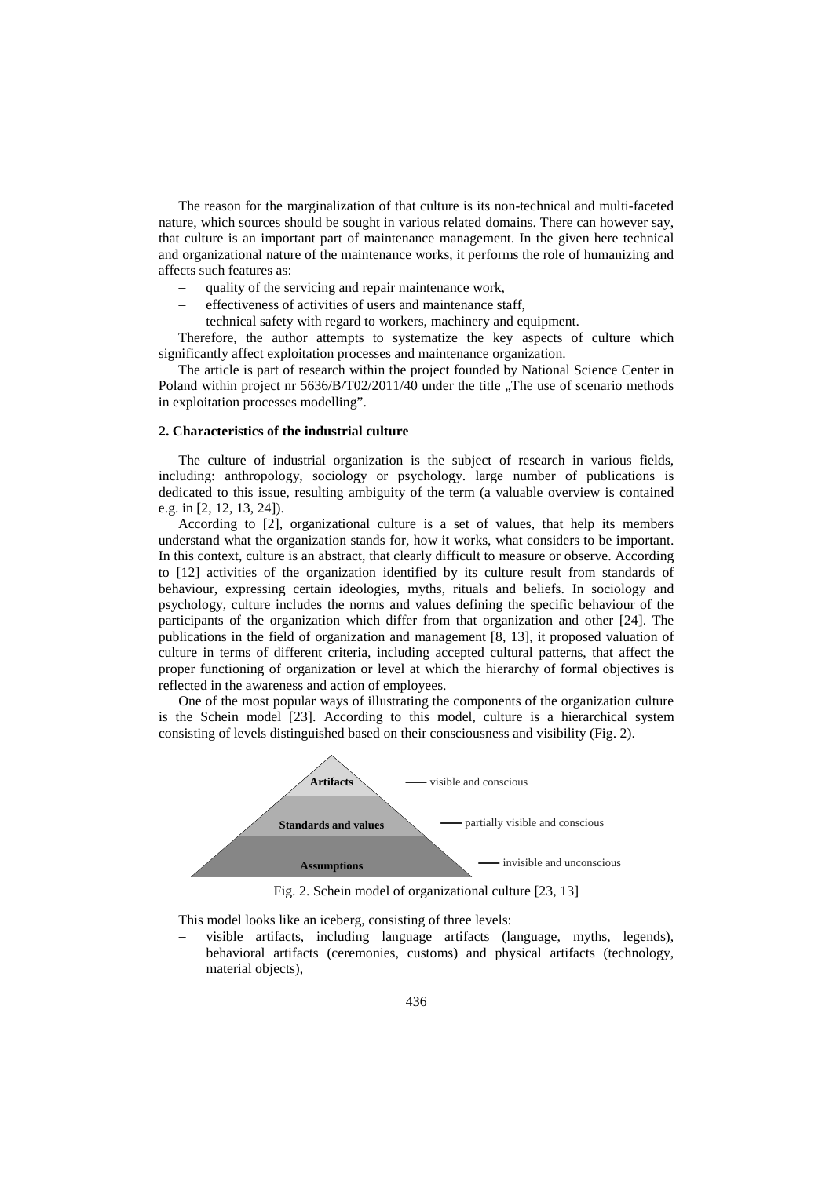The reason for the marginalization of that culture is its non-technical and multi-faceted nature, which sources should be sought in various related domains. There can however say, that culture is an important part of maintenance management. In the given here technical and organizational nature of the maintenance works, it performs the role of humanizing and affects such features as:

- quality of the servicing and repair maintenance work,
- effectiveness of activities of users and maintenance staff,
- − technical safety with regard to workers, machinery and equipment.

Therefore, the author attempts to systematize the key aspects of culture which significantly affect exploitation processes and maintenance organization.

The article is part of research within the project founded by National Science Center in Poland within project nr 5636/B/T02/2011/40 under the title "The use of scenario methods in exploitation processes modelling".

#### **2. Characteristics of the industrial culture**

The culture of industrial organization is the subject of research in various fields, including: anthropology, sociology or psychology. large number of publications is dedicated to this issue, resulting ambiguity of the term (a valuable overview is contained e.g. in [\[2,](#page-10-2) [12,](#page-10-3) [13,](#page-11-4) [24\]](#page-11-5)).

According to [\[2\]](#page-10-2), organizational culture is a set of values, that help its members understand what the organization stands for, how it works, what considers to be important. In this context, culture is an abstract, that clearly difficult to measure or observe. According to [\[12\]](#page-10-3) activities of the organization identified by its culture result from standards of behaviour, expressing certain ideologies, myths, rituals and beliefs. In sociology and psychology, culture includes the norms and values defining the specific behaviour of the participants of the organization which differ from that organization and other [\[24\]](#page-11-5). The publications in the field of organization and management [\[8,](#page-10-4) [13\]](#page-11-4), it proposed valuation of culture in terms of different criteria, including accepted cultural patterns, that affect the proper functioning of organization or level at which the hierarchy of formal objectives is reflected in the awareness and action of employees.

One of the most popular ways of illustrating the components of the organization culture is the Schein model [\[23\]](#page-11-6). According to this model, culture is a hierarchical system consisting of levels distinguished based on their consciousness and visibility [\(Fig. 2\)](#page-1-0).



Fig. 2. Schein model of organizational culture [\[23,](#page-11-6) [13\]](#page-11-4)

<span id="page-1-0"></span>This model looks like an iceberg, consisting of three levels:

visible artifacts, including language artifacts (language, myths, legends), behavioral artifacts (ceremonies, customs) and physical artifacts (technology, material objects),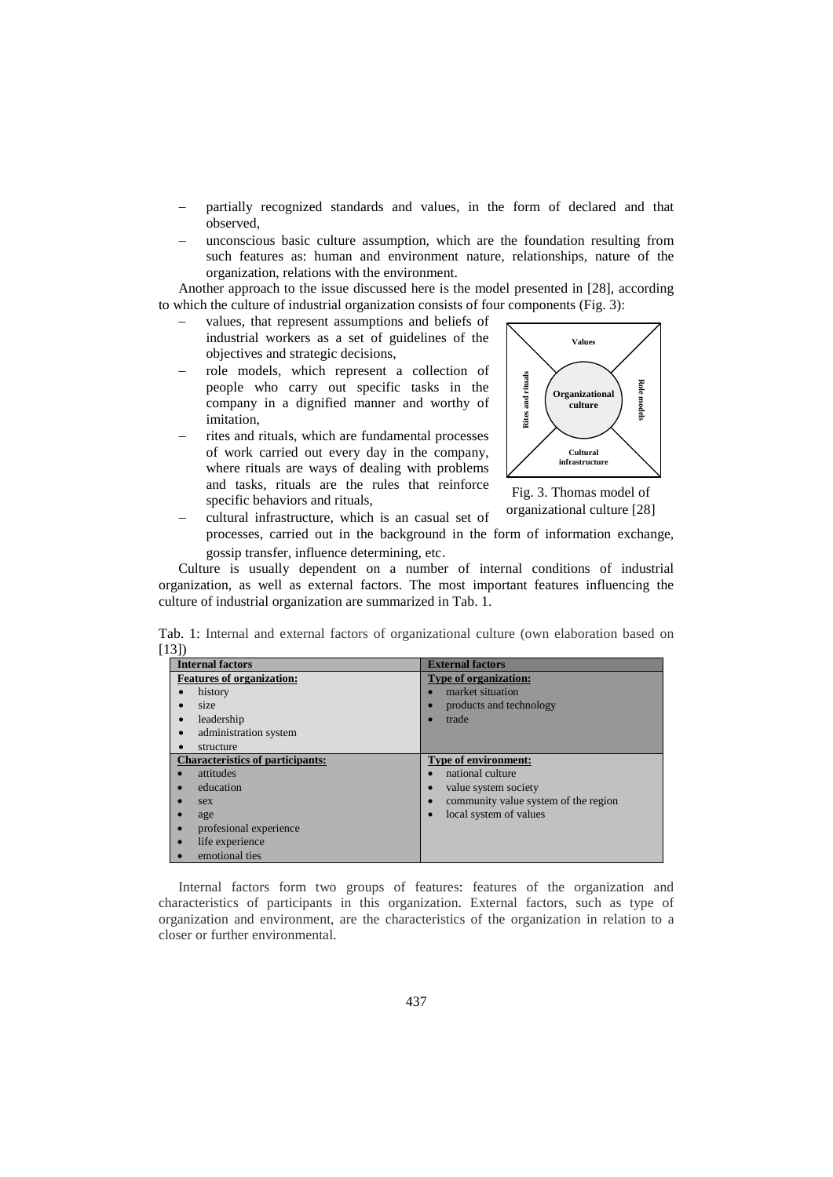- partially recognized standards and values, in the form of declared and that observed,
- unconscious basic culture assumption, which are the foundation resulting from such features as: human and environment nature, relationships, nature of the organization, relations with the environment.

Another approach to the issue discussed here is the model presented in [\[28\]](#page-11-7), according to which the culture of industrial organization consists of four components [\(Fig. 3\)](#page-2-0):

- values, that represent assumptions and beliefs of industrial workers as a set of guidelines of the objectives and strategic decisions,
- − role models, which represent a collection of people who carry out specific tasks in the company in a dignified manner and worthy of imitation,
- rites and rituals, which are fundamental processes of work carried out every day in the company, where rituals are ways of dealing with problems and tasks, rituals are the rules that reinforce specific behaviors and rituals,



<span id="page-2-0"></span>Fig. 3. Thomas model of organizational culture [\[28\]](#page-11-7)

− cultural infrastructure, which is an casual set of processes, carried out in the background in the form of information exchange, gossip transfer, influence determining, etc.

Culture is usually dependent on a number of internal conditions of industrial organization, as well as external factors. The most important features influencing the culture of industrial organization are summarized in [Tab. 1.](#page-2-1)

<span id="page-2-1"></span>Tab. 1: Internal and external factors of organizational culture (own elaboration based on [\[13\]](#page-11-4))

| <b>Internal factors</b>                 | <b>External factors</b>              |
|-----------------------------------------|--------------------------------------|
| <b>Features of organization:</b>        | <b>Type of organization:</b>         |
| history                                 | market situation                     |
| size                                    | products and technology              |
| leadership                              | trade                                |
| administration system<br>$\bullet$      |                                      |
| structure                               |                                      |
| <b>Characteristics of participants:</b> | <b>Type of environment:</b>          |
| attitudes                               | national culture                     |
| education                               | value system society                 |
| sex                                     | community value system of the region |
| age                                     | local system of values               |
| profesional experience                  |                                      |
| life experience                         |                                      |
| emotional ties                          |                                      |

Internal factors form two groups of features: features of the organization and characteristics of participants in this organization. External factors, such as type of organization and environment, are the characteristics of the organization in relation to a closer or further environmental.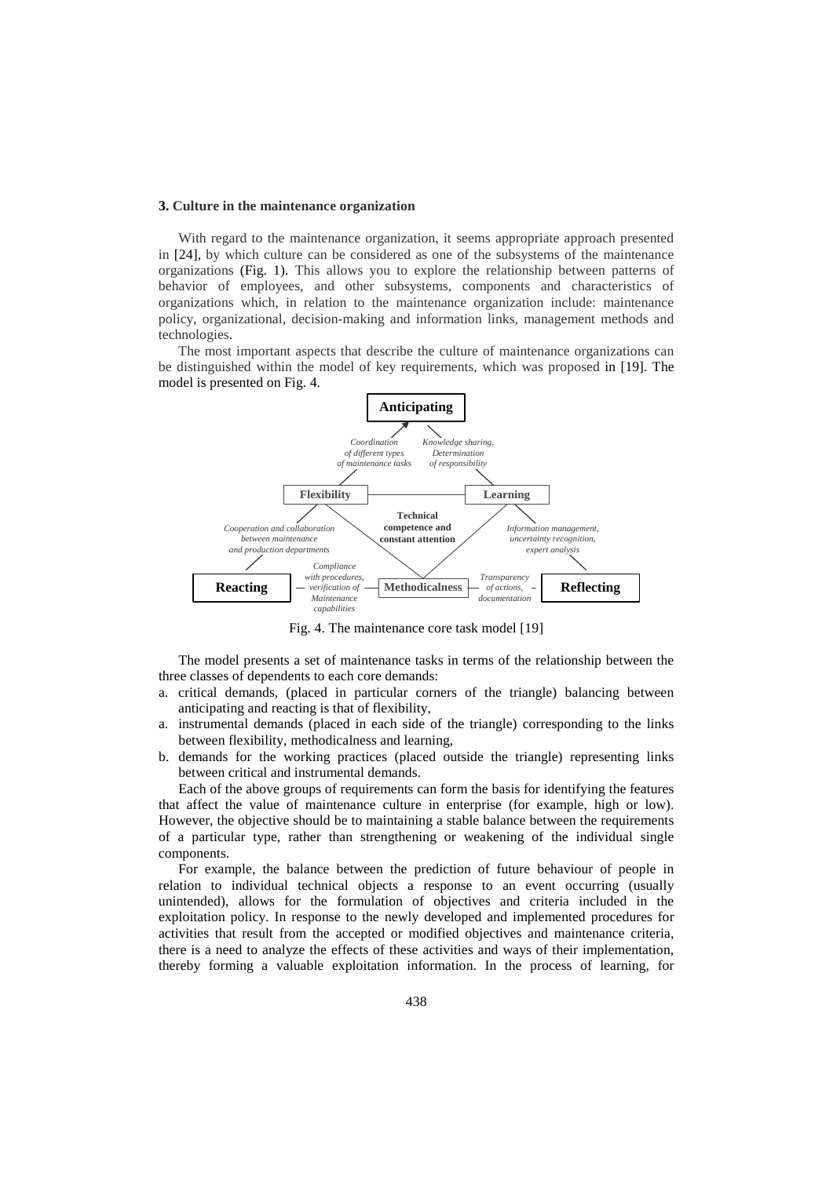#### **3. Culture in the maintenance organization**

With regard to the maintenance organization, it seems appropriate approach presented in [\[24\]](#page-11-5), by which culture can be considered as one of the subsystems of the maintenance organizations [\(Fig. 1\)](#page-0-0). This allows you to explore the relationship between patterns of behavior of employees, and other subsystems, components and characteristics of organizations which, in relation to the maintenance organization include: maintenance policy, organizational, decision-making and information links, management methods and technologies.

The most important aspects that describe the culture of maintenance organizations can be distinguished within the model of key requirements, which was proposed in [\[19\]](#page-11-8). The model is presented on [Fig. 4.](#page-3-0)



Fig. 4. The maintenance core task model [\[19\]](#page-11-8)

<span id="page-3-0"></span>The model presents a set of maintenance tasks in terms of the relationship between the three classes of dependents to each core demands:

- a. critical demands, (placed in particular corners of the triangle) balancing between anticipating and reacting is that of flexibility,
- a. instrumental demands (placed in each side of the triangle) corresponding to the links between flexibility, methodicalness and learning,
- b. demands for the working practices (placed outside the triangle) representing links between critical and instrumental demands.

Each of the above groups of requirements can form the basis for identifying the features that affect the value of maintenance culture in enterprise (for example, high or low). However, the objective should be to maintaining a stable balance between the requirements of a particular type, rather than strengthening or weakening of the individual single components.

For example, the balance between the prediction of future behaviour of people in relation to individual technical objects a response to an event occurring (usually unintended), allows for the formulation of objectives and criteria included in the exploitation policy. In response to the newly developed and implemented procedures for activities that result from the accepted or modified objectives and maintenance criteria, there is a need to analyze the effects of these activities and ways of their implementation, thereby forming a valuable exploitation information. In the process of learning, for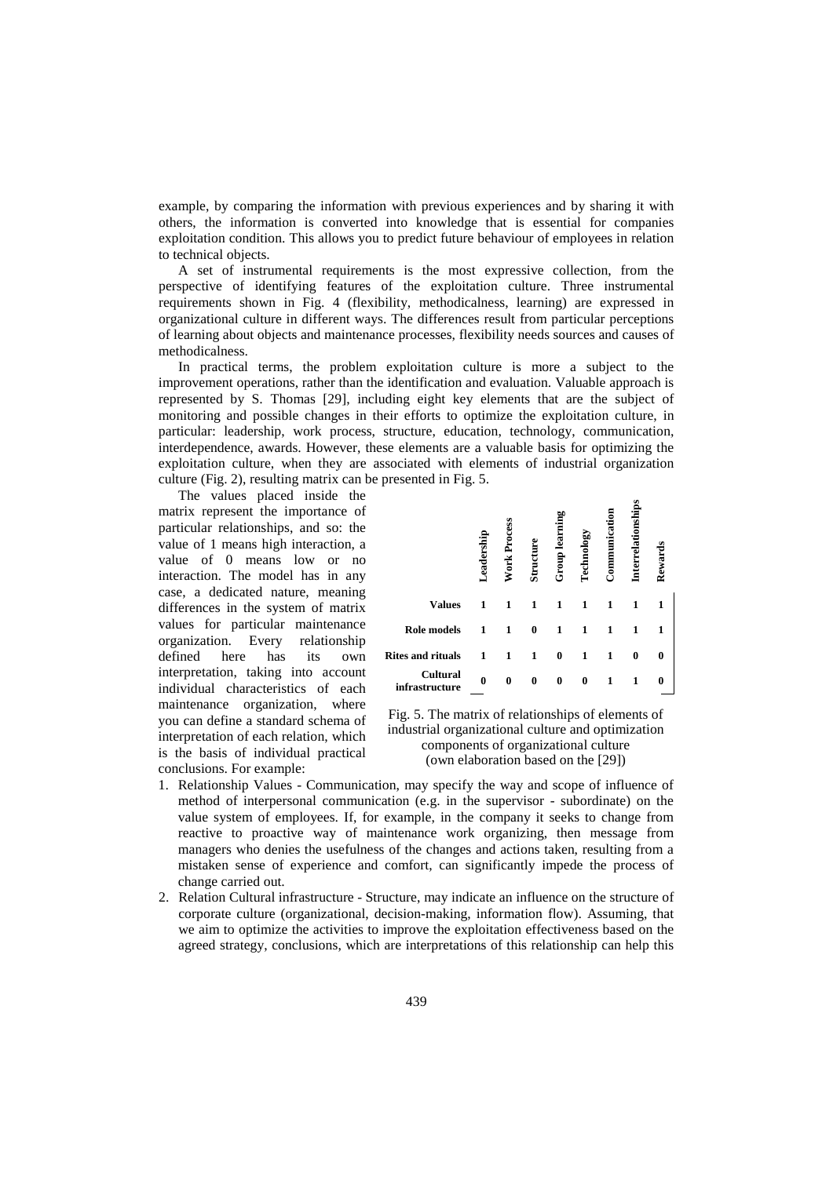example, by comparing the information with previous experiences and by sharing it with others, the information is converted into knowledge that is essential for companies exploitation condition. This allows you to predict future behaviour of employees in relation to technical objects.

A set of instrumental requirements is the most expressive collection, from the perspective of identifying features of the exploitation culture. Three instrumental requirements shown in [Fig. 4](#page-3-0) (flexibility, methodicalness, learning) are expressed in organizational culture in different ways. The differences result from particular perceptions of learning about objects and maintenance processes, flexibility needs sources and causes of methodicalness.

In practical terms, the problem exploitation culture is more a subject to the improvement operations, rather than the identification and evaluation. Valuable approach is represented by S. Thomas [\[29\]](#page-11-9), including eight key elements that are the subject of monitoring and possible changes in their efforts to optimize the exploitation culture, in particular: leadership, work process, structure, education, technology, communication, interdependence, awards. However, these elements are a valuable basis for optimizing the exploitation culture, when they are associated with elements of industrial organization culture [\(Fig. 2\)](#page-1-0), resulting matrix can be presented in [Fig. 5.](#page-4-0)

The values placed inside the matrix represent the importance of particular relationships, and so: the value of 1 means high interaction, a value of 0 means low or no interaction. The model has in any case, a dedicated nature, meaning differences in the system of matrix values for particular maintenance organization. Every relationship defined here has its own interpretation, taking into account individual characteristics of each maintenance organization, where you can define a standard schema of interpretation of each relation, which is the basis of individual practical conclusions. For example:

| The values placed inside the<br>rix represent the importance of<br>ticular relationships, and so: the<br>ue of 1 means high interaction, a<br>ue of 0 means low or<br>n <sub>O</sub><br>raction. The model has in any                                                                                                                                                                                                                                                                                                                                                                                                                                                                                                                                                                                                                                                                                                       | Leadership | <b>Nork Process</b> | Structure    | <b>Group learning</b> | Technology   | Communication | Interrelationships | Rewards  |  |
|-----------------------------------------------------------------------------------------------------------------------------------------------------------------------------------------------------------------------------------------------------------------------------------------------------------------------------------------------------------------------------------------------------------------------------------------------------------------------------------------------------------------------------------------------------------------------------------------------------------------------------------------------------------------------------------------------------------------------------------------------------------------------------------------------------------------------------------------------------------------------------------------------------------------------------|------------|---------------------|--------------|-----------------------|--------------|---------------|--------------------|----------|--|
| e, a dedicated nature, meaning<br><b>Values</b><br>erences in the system of matrix                                                                                                                                                                                                                                                                                                                                                                                                                                                                                                                                                                                                                                                                                                                                                                                                                                          | 1          | $\mathbf{1}$        | $\mathbf{1}$ | $\mathbf{1}$          | 1            | 1             | $\mathbf{1}$       | 1        |  |
| ues for particular maintenance<br><b>Role models</b><br>anization. Every<br>relationship                                                                                                                                                                                                                                                                                                                                                                                                                                                                                                                                                                                                                                                                                                                                                                                                                                    | 1          | $\mathbf{1}$        | $\bf{0}$     | 1                     | $\mathbf{1}$ | 1             | 1                  | 1        |  |
| here<br><b>Rites and rituals</b><br>ned<br>has<br>its<br>own                                                                                                                                                                                                                                                                                                                                                                                                                                                                                                                                                                                                                                                                                                                                                                                                                                                                | 1          | $\mathbf{1}$        | $\mathbf{1}$ | $\bf{0}$              | $\mathbf{1}$ | 1             | $\bf{0}$           | $\bf{0}$ |  |
| rpretation, taking into account<br>Cultural<br>infrastructure<br>vidual characteristics of each                                                                                                                                                                                                                                                                                                                                                                                                                                                                                                                                                                                                                                                                                                                                                                                                                             | $\bf{0}$   | $\bf{0}$            | $\bf{0}$     | $\mathbf{0}$          | $\mathbf{0}$ | $\mathbf{1}$  | $\mathbf{1}$       | $\bf{0}$ |  |
| organization,<br>ntenance<br>where<br>Fig. 5. The matrix of relationships of elements of<br>can define a standard schema of<br>industrial organizational culture and optimization<br>rpretation of each relation, which<br>components of organizational culture<br>he basis of individual practical<br>(own elaboration based on the [29])<br>clusions. For example:<br>Relationship Values - Communication, may specify the way and scope of influence of<br>method of interpersonal communication (e.g. in the supervisor - subordinate) on the<br>value system of employees. If, for example, in the company it seeks to change from<br>reactive to proactive way of maintenance work organizing, then message from<br>managers who denies the usefulness of the changes and actions taken, resulting from a<br>mistaken sense of experience and comfort, can significantly impede the process of<br>change carried out. |            |                     |              |                       |              |               |                    |          |  |
| Relation Cultural infrastructure - Structure, may indicate an influence on the structure of<br>corporate culture (organizational, decision-making, information flow). Assuming, that<br>we aim to optimize the activities to improve the exploitation effectiveness based on the<br>agreed strategy, conclusions, which are interpretations of this relationship can help this                                                                                                                                                                                                                                                                                                                                                                                                                                                                                                                                              |            |                     |              |                       |              |               |                    |          |  |

- <span id="page-4-0"></span>1. Relationship Values - Communication, may specify the way and scope of influence of method of interpersonal communication (e.g. in the supervisor - subordinate) on the value system of employees. If, for example, in the company it seeks to change from reactive to proactive way of maintenance work organizing, then message from managers who denies the usefulness of the changes and actions taken, resulting from a mistaken sense of experience and comfort, can significantly impede the process of change carried out.
- 2. Relation Cultural infrastructure Structure, may indicate an influence on the structure of corporate culture (organizational, decision-making, information flow). Assuming, that we aim to optimize the activities to improve the exploitation effectiveness based on the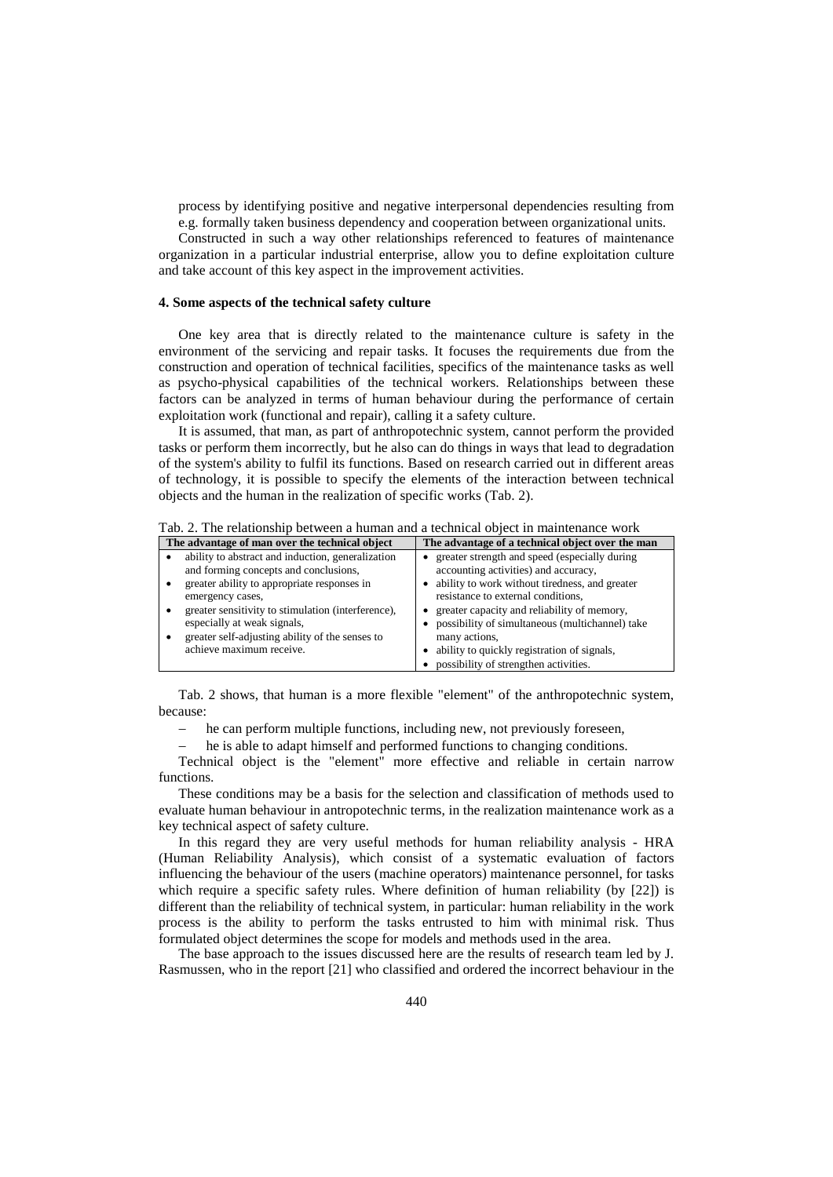process by identifying positive and negative interpersonal dependencies resulting from e.g. formally taken business dependency and cooperation between organizational units.

Constructed in such a way other relationships referenced to features of maintenance organization in a particular industrial enterprise, allow you to define exploitation culture and take account of this key aspect in the improvement activities.

#### **4. Some aspects of the technical safety culture**

One key area that is directly related to the maintenance culture is safety in the environment of the servicing and repair tasks. It focuses the requirements due from the construction and operation of technical facilities, specifics of the maintenance tasks as well as psycho-physical capabilities of the technical workers. Relationships between these factors can be analyzed in terms of human behaviour during the performance of certain exploitation work (functional and repair), calling it a safety culture.

It is assumed, that man, as part of anthropotechnic system, cannot perform the provided tasks or perform them incorrectly, but he also can do things in ways that lead to degradation of the system's ability to fulfil its functions. Based on research carried out in different areas of technology, it is possible to specify the elements of the interaction between technical objects and the human in the realization of specific works [\(Tab. 2\)](#page-5-0).

<span id="page-5-0"></span>Tab. 2. The relationship between a human and a technical object in maintenance work

| The advantage of man over the technical object     | The advantage of a technical object over the man |  |  |  |
|----------------------------------------------------|--------------------------------------------------|--|--|--|
| ability to abstract and induction, generalization  | greater strength and speed (especially during    |  |  |  |
| and forming concepts and conclusions,              | accounting activities) and accuracy,             |  |  |  |
| greater ability to appropriate responses in        | ability to work without tiredness, and greater   |  |  |  |
| emergency cases,                                   | resistance to external conditions,               |  |  |  |
| greater sensitivity to stimulation (interference), | greater capacity and reliability of memory,      |  |  |  |
| especially at weak signals,                        | possibility of simultaneous (multichannel) take  |  |  |  |
| greater self-adjusting ability of the senses to    | many actions,                                    |  |  |  |
| achieve maximum receive.                           | ability to quickly registration of signals,      |  |  |  |
|                                                    | possibility of strengthen activities.            |  |  |  |

[Tab. 2](#page-5-0) shows, that human is a more flexible "element" of the anthropotechnic system, because:

− he can perform multiple functions, including new, not previously foreseen,

he is able to adapt himself and performed functions to changing conditions.

Technical object is the "element" more effective and reliable in certain narrow functions.

These conditions may be a basis for the selection and classification of methods used to evaluate human behaviour in antropotechnic terms, in the realization maintenance work as a key technical aspect of safety culture.

In this regard they are very useful methods for human reliability analysis - HRA (Human Reliability Analysis), which consist of a systematic evaluation of factors influencing the behaviour of the users (machine operators) maintenance personnel, for tasks which require a specific safety rules. Where definition of human reliability (by [\[22\]](#page-11-10)) is different than the reliability of technical system, in particular: human reliability in the work process is the ability to perform the tasks entrusted to him with minimal risk. Thus formulated object determines the scope for models and methods used in the area.

The base approach to the issues discussed here are the results of research team led by J. Rasmussen, who in the report [\[21\]](#page-11-11) who classified and ordered the incorrect behaviour in the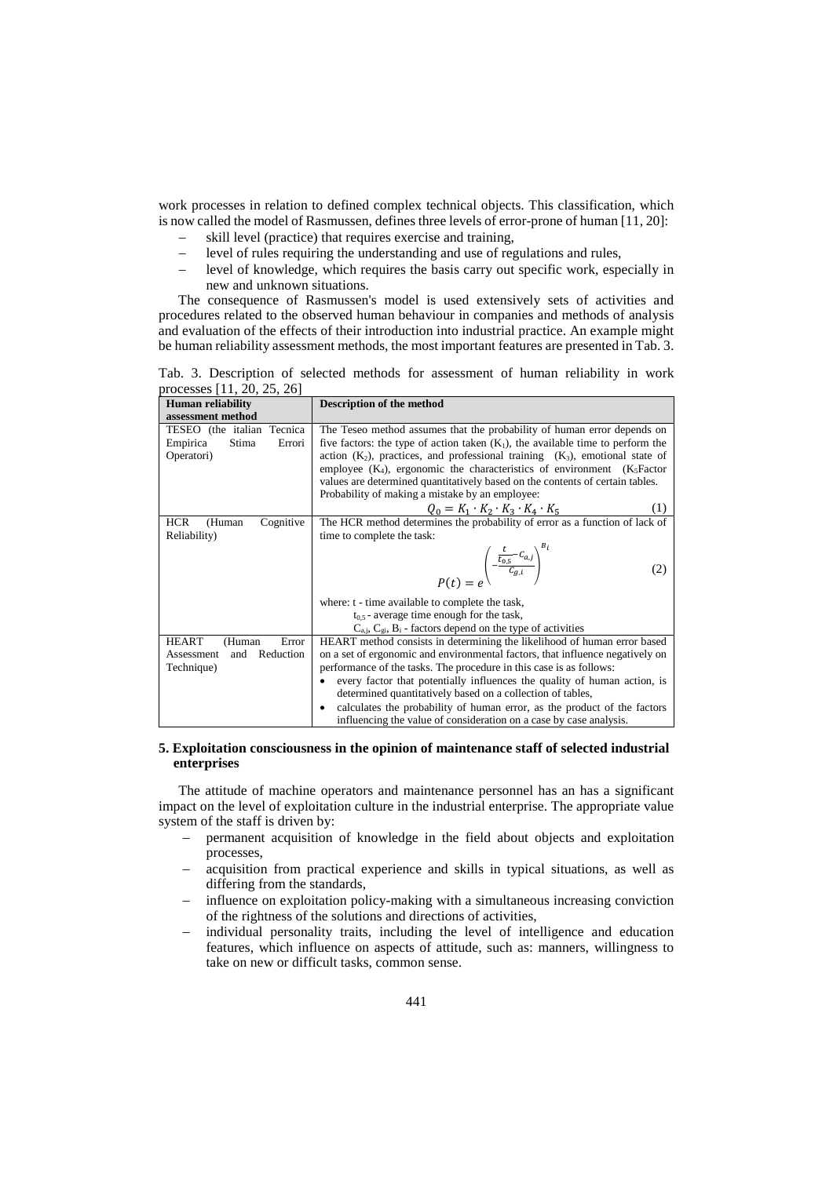work processes in relation to defined complex technical objects. This classification, which is now called the model of Rasmussen, defines three levels of error-prone of human [\[11,](#page-10-5) [20\]](#page-11-12):

- skill level (practice) that requires exercise and training,
- − level of rules requiring the understanding and use of regulations and rules,
- − level of knowledge, which requires the basis carry out specific work, especially in new and unknown situations.

The consequence of Rasmussen's model is used extensively sets of activities and procedures related to the observed human behaviour in companies and methods of analysis and evaluation of the effects of their introduction into industrial practice. An example might be human reliability assessment methods, the most important features are presented in Tab. 3.

Tab. 3. Description of selected methods for assessment of human reliability in work processes [\[11,](#page-10-5) [20,](#page-11-12) [25,](#page-11-13) [26\]](#page-11-14)

| <b>Human reliability</b>          | <b>Description of the method</b>                                                   |
|-----------------------------------|------------------------------------------------------------------------------------|
| assessment method                 |                                                                                    |
| TESEO (the italian Tecnica        | The Teseo method assumes that the probability of human error depends on            |
| Empirica<br>Stima<br>Errori       | five factors: the type of action taken $(K_1)$ , the available time to perform the |
| Operatori)                        | action $(K_2)$ , practices, and professional training $(K_3)$ , emotional state of |
|                                   | employee $(K_4)$ , ergonomic the characteristics of environment $(K_5$ Factor      |
|                                   | values are determined quantitatively based on the contents of certain tables.      |
|                                   | Probability of making a mistake by an employee:                                    |
|                                   | $Q_0 = K_1 \cdot K_2 \cdot K_3 \cdot K_4 \cdot K_5$                                |
| <b>HCR</b><br>Cognitive<br>(Human | The HCR method determines the probability of error as a function of lack of        |
| Reliability)                      | time to complete the task:                                                         |
|                                   | $P(t) = e^{\left(-\frac{t}{c_{0.5}}-C_{a,j}\right)^{2t}}$<br>(2)                   |
|                                   | where: t - time available to complete the task,                                    |
|                                   | $t_{0.5}$ - average time enough for the task,                                      |
|                                   | $C_{a,i}$ , $C_{gi}$ , $B_i$ - factors depend on the type of activities            |
| <b>HEART</b><br>Error<br>(Human   | HEART method consists in determining the likelihood of human error based           |
| Reduction<br>Assessment<br>and    | on a set of ergonomic and environmental factors, that influence negatively on      |
| Technique)                        | performance of the tasks. The procedure in this case is as follows:                |
|                                   | every factor that potentially influences the quality of human action, is           |
|                                   | determined quantitatively based on a collection of tables,                         |
|                                   | calculates the probability of human error, as the product of the factors           |
|                                   | influencing the value of consideration on a case by case analysis.                 |

## **5. Exploitation consciousness in the opinion of maintenance staff of selected industrial enterprises**

The attitude of machine operators and maintenance personnel has an has a significant impact on the level of exploitation culture in the industrial enterprise. The appropriate value system of the staff is driven by:

- permanent acquisition of knowledge in the field about objects and exploitation processes,
- − acquisition from practical experience and skills in typical situations, as well as differing from the standards,
- influence on exploitation policy-making with a simultaneous increasing conviction of the rightness of the solutions and directions of activities,
- individual personality traits, including the level of intelligence and education features, which influence on aspects of attitude, such as: manners, willingness to take on new or difficult tasks, common sense.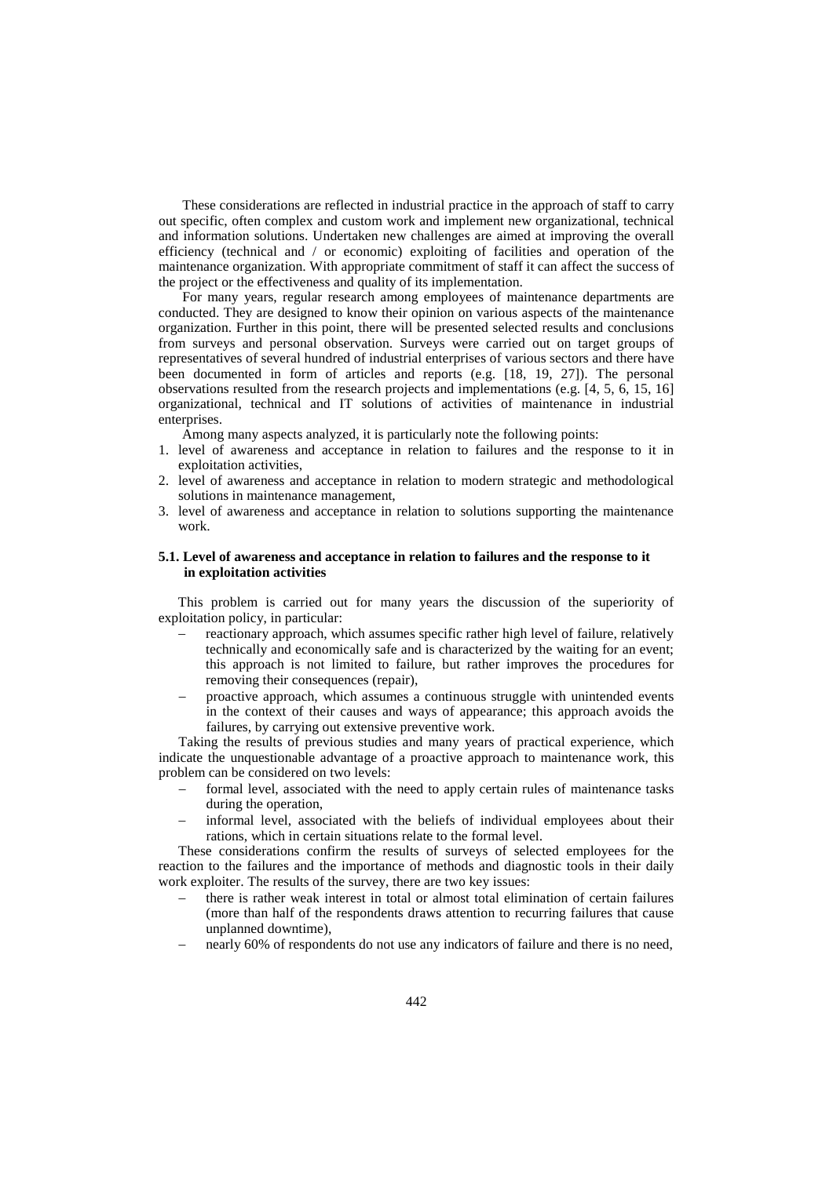These considerations are reflected in industrial practice in the approach of staff to carry out specific, often complex and custom work and implement new organizational, technical and information solutions. Undertaken new challenges are aimed at improving the overall efficiency (technical and / or economic) exploiting of facilities and operation of the maintenance organization. With appropriate commitment of staff it can affect the success of the project or the effectiveness and quality of its implementation.

For many years, regular research among employees of maintenance departments are conducted. They are designed to know their opinion on various aspects of the maintenance organization. Further in this point, there will be presented selected results and conclusions from surveys and personal observation. Surveys were carried out on target groups of representatives of several hundred of industrial enterprises of various sectors and there have been documented in form of articles and reports (e.g. [\[18,](#page-11-15) [19,](#page-11-8) [27\]](#page-11-16)). The personal observations resulted from the research projects and implementations (e.g. [\[4,](#page-10-6) [5,](#page-10-7) [6,](#page-10-8) [15,](#page-11-17) [16\]](#page-11-18) organizational, technical and IT solutions of activities of maintenance in industrial enterprises.

Among many aspects analyzed, it is particularly note the following points:

- 1. level of awareness and acceptance in relation to failures and the response to it in exploitation activities,
- 2. level of awareness and acceptance in relation to modern strategic and methodological solutions in maintenance management,
- 3. level of awareness and acceptance in relation to solutions supporting the maintenance work.

# **5.1. Level of awareness and acceptance in relation to failures and the response to it in exploitation activities**

This problem is carried out for many years the discussion of the superiority of exploitation policy, in particular:

- − reactionary approach, which assumes specific rather high level of failure, relatively technically and economically safe and is characterized by the waiting for an event; this approach is not limited to failure, but rather improves the procedures for removing their consequences (repair),
- proactive approach, which assumes a continuous struggle with unintended events in the context of their causes and ways of appearance; this approach avoids the failures, by carrying out extensive preventive work.

Taking the results of previous studies and many years of practical experience, which indicate the unquestionable advantage of a proactive approach to maintenance work, this problem can be considered on two levels:

- formal level, associated with the need to apply certain rules of maintenance tasks during the operation,
- informal level, associated with the beliefs of individual employees about their rations, which in certain situations relate to the formal level.

These considerations confirm the results of surveys of selected employees for the reaction to the failures and the importance of methods and diagnostic tools in their daily work exploiter. The results of the survey, there are two key issues:

- there is rather weak interest in total or almost total elimination of certain failures (more than half of the respondents draws attention to recurring failures that cause unplanned downtime),
- nearly 60% of respondents do not use any indicators of failure and there is no need,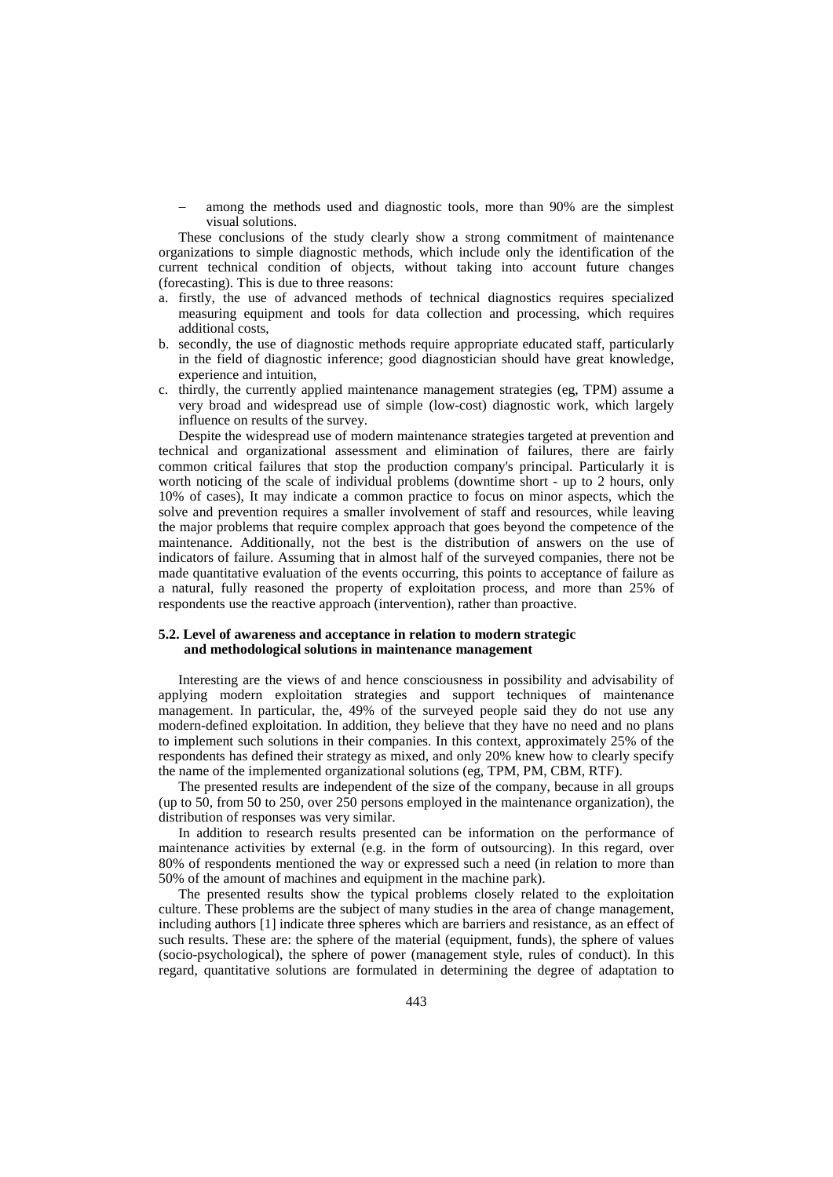among the methods used and diagnostic tools, more than 90% are the simplest visual solutions.

These conclusions of the study clearly show a strong commitment of maintenance organizations to simple diagnostic methods, which include only the identification of the current technical condition of objects, without taking into account future changes (forecasting). This is due to three reasons:

- a. firstly, the use of advanced methods of technical diagnostics requires specialized measuring equipment and tools for data collection and processing, which requires additional costs,
- b. secondly, the use of diagnostic methods require appropriate educated staff, particularly in the field of diagnostic inference; good diagnostician should have great knowledge, experience and intuition,
- c. thirdly, the currently applied maintenance management strategies (eg, TPM) assume a very broad and widespread use of simple (low-cost) diagnostic work, which largely influence on results of the survey.

Despite the widespread use of modern maintenance strategies targeted at prevention and technical and organizational assessment and elimination of failures, there are fairly common critical failures that stop the production company's principal. Particularly it is worth noticing of the scale of individual problems (downtime short - up to 2 hours, only 10% of cases), It may indicate a common practice to focus on minor aspects, which the solve and prevention requires a smaller involvement of staff and resources, while leaving the major problems that require complex approach that goes beyond the competence of the maintenance. Additionally, not the best is the distribution of answers on the use of indicators of failure. Assuming that in almost half of the surveyed companies, there not be made quantitative evaluation of the events occurring, this points to acceptance of failure as a natural, fully reasoned the property of exploitation process, and more than 25% of respondents use the reactive approach (intervention), rather than proactive.

### **5.2. Level of awareness and acceptance in relation to modern strategic and methodological solutions in maintenance management**

Interesting are the views of and hence consciousness in possibility and advisability of applying modern exploitation strategies and support techniques of maintenance management. In particular, the, 49% of the surveyed people said they do not use any modern-defined exploitation. In addition, they believe that they have no need and no plans to implement such solutions in their companies. In this context, approximately 25% of the respondents has defined their strategy as mixed, and only 20% knew how to clearly specify the name of the implemented organizational solutions (eg, TPM, PM, CBM, RTF).

The presented results are independent of the size of the company, because in all groups (up to 50, from 50 to 250, over 250 persons employed in the maintenance organization), the distribution of responses was very similar.

In addition to research results presented can be information on the performance of maintenance activities by external (e.g. in the form of outsourcing). In this regard, over 80% of respondents mentioned the way or expressed such a need (in relation to more than 50% of the amount of machines and equipment in the machine park).

The presented results show the typical problems closely related to the exploitation culture. These problems are the subject of many studies in the area of change management, including authors [\[1\]](#page-10-9) indicate three spheres which are barriers and resistance, as an effect of such results. These are: the sphere of the material (equipment, funds), the sphere of values (socio-psychological), the sphere of power (management style, rules of conduct). In this regard, quantitative solutions are formulated in determining the degree of adaptation to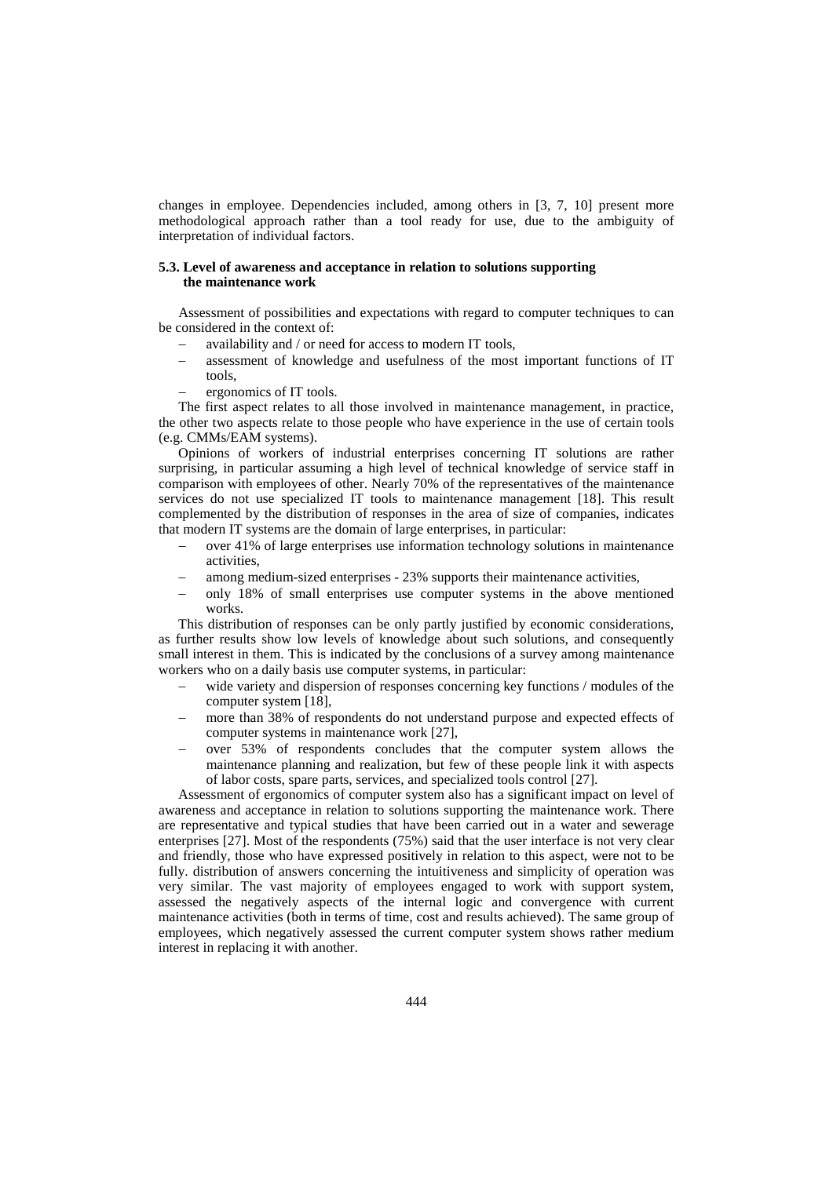changes in employee. Dependencies included, among others in [\[3,](#page-10-10) [7,](#page-10-0) [10\]](#page-10-11) present more methodological approach rather than a tool ready for use, due to the ambiguity of interpretation of individual factors.

## **5.3. Level of awareness and acceptance in relation to solutions supporting the maintenance work**

Assessment of possibilities and expectations with regard to computer techniques to can be considered in the context of:

- availability and / or need for access to modern IT tools,
- assessment of knowledge and usefulness of the most important functions of IT tools,
	- ergonomics of IT tools.

The first aspect relates to all those involved in maintenance management, in practice, the other two aspects relate to those people who have experience in the use of certain tools (e.g. CMMs/EAM systems).

Opinions of workers of industrial enterprises concerning IT solutions are rather surprising, in particular assuming a high level of technical knowledge of service staff in comparison with employees of other. Nearly 70% of the representatives of the maintenance services do not use specialized IT tools to maintenance management [\[18\]](#page-11-15). This result complemented by the distribution of responses in the area of size of companies, indicates that modern IT systems are the domain of large enterprises, in particular:

- − over 41% of large enterprises use information technology solutions in maintenance activities,
- among medium-sized enterprises 23% supports their maintenance activities,
- only 18% of small enterprises use computer systems in the above mentioned works.

This distribution of responses can be only partly justified by economic considerations, as further results show low levels of knowledge about such solutions, and consequently small interest in them. This is indicated by the conclusions of a survey among maintenance workers who on a daily basis use computer systems, in particular:

- wide variety and dispersion of responses concerning key functions / modules of the computer system [\[18\]](#page-11-15),
- more than 38% of respondents do not understand purpose and expected effects of computer systems in maintenance work [\[27\]](#page-11-16),
- − over 53% of respondents concludes that the computer system allows the maintenance planning and realization, but few of these people link it with aspects of labor costs, spare parts, services, and specialized tools control [\[27\]](#page-11-16).

Assessment of ergonomics of computer system also has a significant impact on level of awareness and acceptance in relation to solutions supporting the maintenance work. There are representative and typical studies that have been carried out in a water and sewerage enterprises [\[27\]](#page-11-16). Most of the respondents (75%) said that the user interface is not very clear and friendly, those who have expressed positively in relation to this aspect, were not to be fully. distribution of answers concerning the intuitiveness and simplicity of operation was very similar. The vast majority of employees engaged to work with support system, assessed the negatively aspects of the internal logic and convergence with current maintenance activities (both in terms of time, cost and results achieved). The same group of employees, which negatively assessed the current computer system shows rather medium interest in replacing it with another.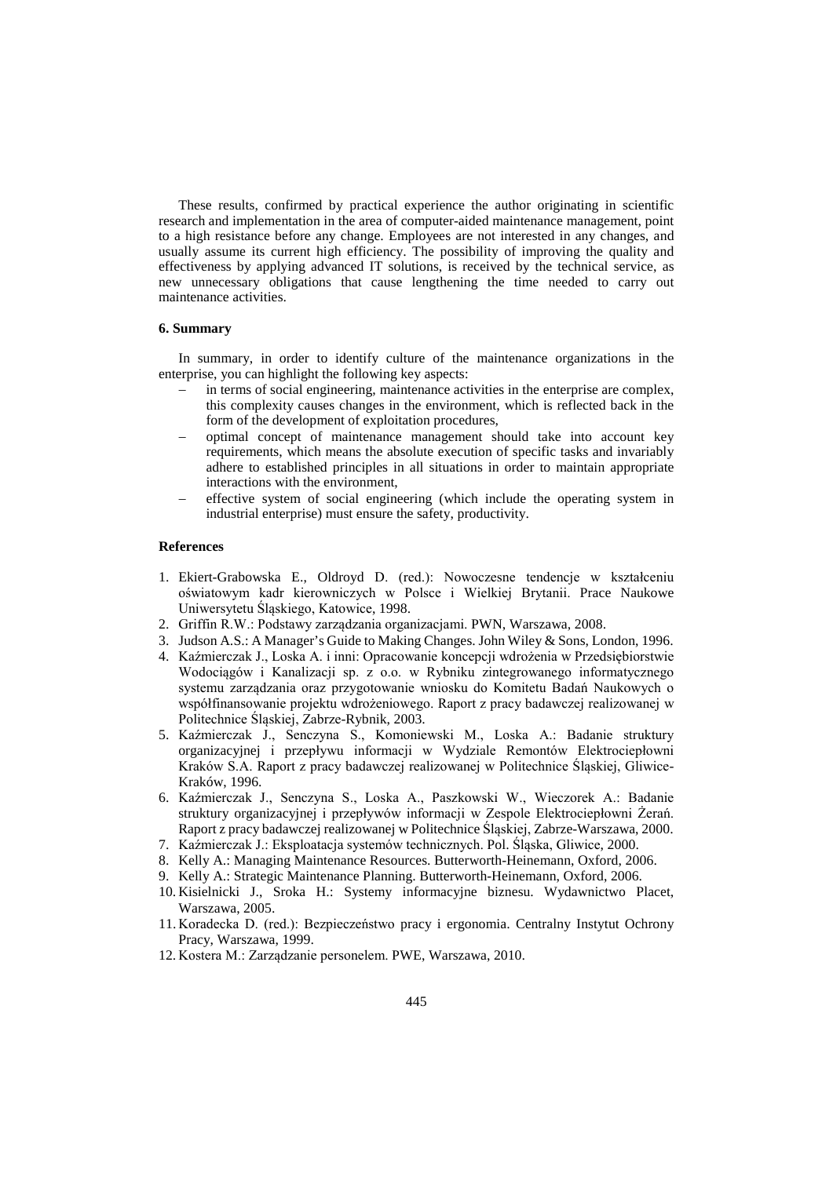These results, confirmed by practical experience the author originating in scientific research and implementation in the area of computer-aided maintenance management, point to a high resistance before any change. Employees are not interested in any changes, and usually assume its current high efficiency. The possibility of improving the quality and effectiveness by applying advanced IT solutions, is received by the technical service, as new unnecessary obligations that cause lengthening the time needed to carry out maintenance activities.

### **6. Summary**

In summary, in order to identify culture of the maintenance organizations in the enterprise, you can highlight the following key aspects:

- in terms of social engineering, maintenance activities in the enterprise are complex, this complexity causes changes in the environment, which is reflected back in the form of the development of exploitation procedures,
- − optimal concept of maintenance management should take into account key requirements, which means the absolute execution of specific tasks and invariably adhere to established principles in all situations in order to maintain appropriate interactions with the environment,
- effective system of social engineering (which include the operating system in industrial enterprise) must ensure the safety, productivity.

# **References**

- <span id="page-10-9"></span>1. Ekiert-Grabowska E., Oldroyd D. (red.): Nowoczesne tendencje w kształceniu oświatowym kadr kierowniczych w Polsce i Wielkiej Brytanii. Prace Naukowe Uniwersytetu Śląskiego, Katowice, 1998.
- <span id="page-10-2"></span>2. Griffin R.W.: Podstawy zarządzania organizacjami. PWN, Warszawa, 2008.
- <span id="page-10-10"></span>3. Judson A.S.: A Manager's Guide to Making Changes. John Wiley & Sons, London, 1996.
- <span id="page-10-6"></span>4. Kaźmierczak J., Loska A. i inni: Opracowanie koncepcji wdrożenia w Przedsiębiorstwie Wodociągów i Kanalizacji sp. z o.o. w Rybniku zintegrowanego informatycznego systemu zarządzania oraz przygotowanie wniosku do Komitetu Badań Naukowych o współfinansowanie projektu wdrożeniowego. Raport z pracy badawczej realizowanej w Politechnice Śląskiej, Zabrze-Rybnik, 2003.
- <span id="page-10-7"></span>5. Kaźmierczak J., Senczyna S., Komoniewski M., Loska A.: Badanie struktury organizacyjnej i przepływu informacji w Wydziale Remontów Elektrociepłowni Kraków S.A. Raport z pracy badawczej realizowanej w Politechnice Śląskiej, Gliwice-Kraków, 1996.
- <span id="page-10-8"></span>6. Kaźmierczak J., Senczyna S., Loska A., Paszkowski W., Wieczorek A.: Badanie struktury organizacyjnej i przepływów informacji w Zespole Elektrociepłowni Żerań. Raport z pracy badawczej realizowanej w Politechnice Śląskiej, Zabrze-Warszawa, 2000.
- <span id="page-10-0"></span>7. Kaźmierczak J.: Eksploatacja systemów technicznych. Pol. Śląska, Gliwice, 2000.
- <span id="page-10-4"></span>8. Kelly A.: Managing Maintenance Resources. Butterworth-Heinemann, Oxford, 2006.
- <span id="page-10-1"></span>9. Kelly A.: Strategic Maintenance Planning. Butterworth-Heinemann, Oxford, 2006.
- <span id="page-10-11"></span>10. Kisielnicki J., Sroka H.: Systemy informacyjne biznesu. Wydawnictwo Placet, Warszawa, 2005.
- <span id="page-10-5"></span>11. Koradecka D. (red.): Bezpieczeństwo pracy i ergonomia. Centralny Instytut Ochrony Pracy, Warszawa, 1999.
- <span id="page-10-3"></span>12. Kostera M.: Zarządzanie personelem. PWE, Warszawa, 2010.